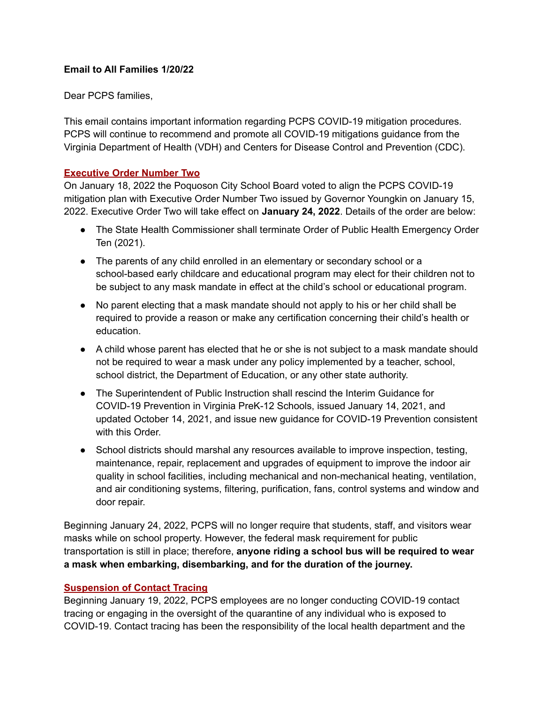#### **Email to All Families 1/20/22**

Dear PCPS families,

This email contains important information regarding PCPS COVID-19 mitigation procedures. PCPS will continue to recommend and promote all COVID-19 mitigations guidance from the Virginia Department of Health (VDH) and Centers for Disease Control and Prevention (CDC).

#### **Executive Order Number Two**

On January 18, 2022 the Poquoson City School Board voted to align the PCPS COVID-19 mitigation plan with Executive Order Number Two issued by Governor Youngkin on January 15, 2022. Executive Order Two will take effect on **January 24, 2022**. Details of the order are below:

- The State Health Commissioner shall terminate Order of Public Health Emergency Order Ten (2021).
- The parents of any child enrolled in an elementary or secondary school or a school-based early childcare and educational program may elect for their children not to be subject to any mask mandate in effect at the child's school or educational program.
- No parent electing that a mask mandate should not apply to his or her child shall be required to provide a reason or make any certification concerning their child's health or education.
- A child whose parent has elected that he or she is not subject to a mask mandate should not be required to wear a mask under any policy implemented by a teacher, school, school district, the Department of Education, or any other state authority.
- The Superintendent of Public Instruction shall rescind the Interim Guidance for COVID-19 Prevention in Virginia PreK-12 Schools, issued January 14, 2021, and updated October 14, 2021, and issue new guidance for COVID-19 Prevention consistent with this Order
- School districts should marshal any resources available to improve inspection, testing, maintenance, repair, replacement and upgrades of equipment to improve the indoor air quality in school facilities, including mechanical and non-mechanical heating, ventilation, and air conditioning systems, filtering, purification, fans, control systems and window and door repair.

Beginning January 24, 2022, PCPS will no longer require that students, staff, and visitors wear masks while on school property. However, the federal mask requirement for public transportation is still in place; therefore, **anyone riding a school bus will be required to wear a mask when embarking, disembarking, and for the duration of the journey.**

#### **Suspension of Contact Tracing**

Beginning January 19, 2022, PCPS employees are no longer conducting COVID-19 contact tracing or engaging in the oversight of the quarantine of any individual who is exposed to COVID-19. Contact tracing has been the responsibility of the local health department and the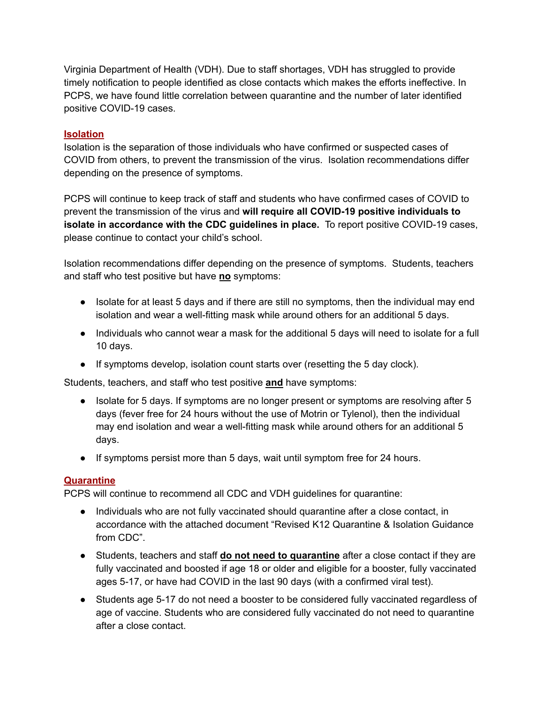Virginia Department of Health (VDH). Due to staff shortages, VDH has struggled to provide timely notification to people identified as close contacts which makes the efforts ineffective. In PCPS, we have found little correlation between quarantine and the number of later identified positive COVID-19 cases.

#### **Isolation**

Isolation is the separation of those individuals who have confirmed or suspected cases of COVID from others, to prevent the transmission of the virus. Isolation recommendations differ depending on the presence of symptoms.

PCPS will continue to keep track of staff and students who have confirmed cases of COVID to prevent the transmission of the virus and **will require all COVID-19 positive individuals to isolate in accordance with the CDC guidelines in place.** To report positive COVID-19 cases, please continue to contact your child's school.

Isolation recommendations differ depending on the presence of symptoms. Students, teachers and staff who test positive but have **no** symptoms:

- Isolate for at least 5 days and if there are still no symptoms, then the individual may end isolation and wear a well-fitting mask while around others for an additional 5 days.
- Individuals who cannot wear a mask for the additional 5 days will need to isolate for a full 10 days.
- If symptoms develop, isolation count starts over (resetting the 5 day clock).

Students, teachers, and staff who test positive **and** have symptoms:

- Isolate for 5 days. If symptoms are no longer present or symptoms are resolving after 5 days (fever free for 24 hours without the use of Motrin or Tylenol), then the individual may end isolation and wear a well-fitting mask while around others for an additional 5 days.
- If symptoms persist more than 5 days, wait until symptom free for 24 hours.

## **Quarantine**

PCPS will continue to recommend all CDC and VDH guidelines for quarantine:

- Individuals who are not fully vaccinated should quarantine after a close contact, in accordance with the attached document "Revised K12 Quarantine & Isolation Guidance from CDC".
- Students, teachers and staff **do not need to quarantine** after a close contact if they are fully vaccinated and boosted if age 18 or older and eligible for a booster, fully vaccinated ages 5-17, or have had COVID in the last 90 days (with a confirmed viral test).
- Students age 5-17 do not need a booster to be considered fully vaccinated regardless of age of vaccine. Students who are considered fully vaccinated do not need to quarantine after a close contact.